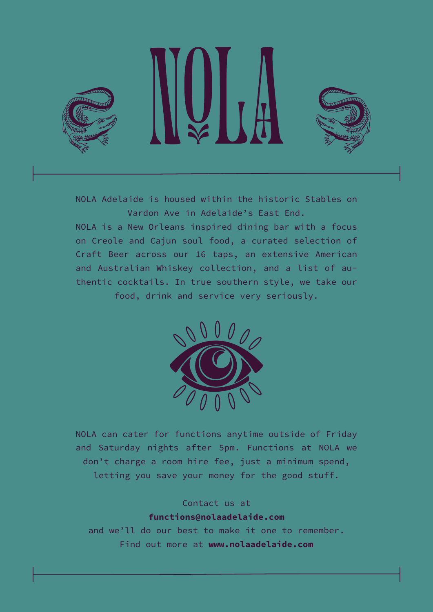

NOLA Adelaide is housed within the historic Stables on Vardon Ave in Adelaide's East End.

NOLA is a New Orleans inspired dining bar with a focus on Creole and Cajun soul food, a curated selection of Craft Beer across our 16 taps, an extensive American and Australian Whiskey collection, and a list of authentic cocktails. In true southern style, we take our food, drink and service very seriously.



NOLA can cater for functions anytime outside of Friday and Saturday nights after 5pm. Functions at NOLA we don't charge a room hire fee, just a minimum spend, letting you save your money for the good stuff.

# Contact us at functions@nolaadelaide.com

and we'll do our best to make it one to remember. Find out more at www.nolaadelaide.com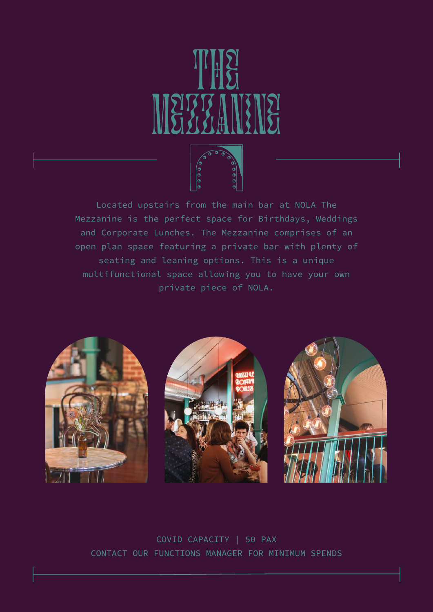

Located upstairs from the main bar at NOLA The Mezzanine is the perfect space for Birthdays, Weddings and Corporate Lunches. The Mezzanine comprises of an open plan space featuring a private bar with plenty of seating and leaning options. This is a unique multifunctional space allowing you to have your own private piece of NOLA.



COVID CAPACITY | 50 PAX CONTACT OUR FUNCTIONS MANAGER FOR MINIMUM SPENDS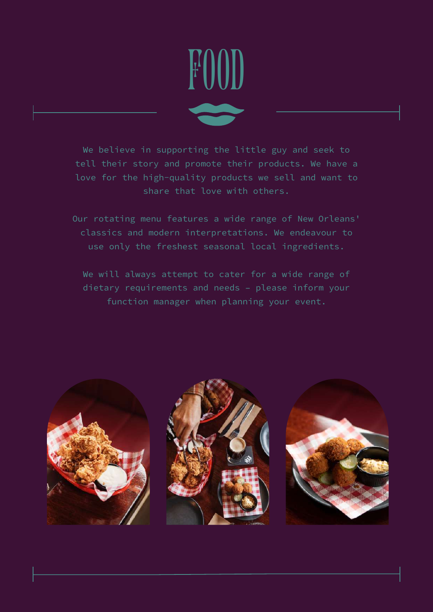

We believe in supporting the little guy and seek to tell their story and promote their products. We have a love for the high-quality products we sell and want to share that love with others.

Our rotating menu features a wide range of New Orleans' classics and modern interpretations. We endeavour to use only the freshest seasonal local ingredients.

We will always attempt to cater for a wide range of dietary requirements and needs – please inform your function manager when planning your event.

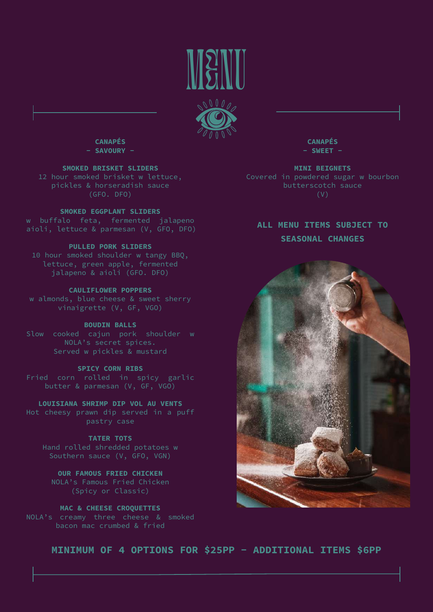



CANAPÉS - SAVOURY -

SMOKED BRISKET SLIDERS

## SMOKED EGGPLANT SLIDERS

# PULLED PORK SLIDERS

10 hour smoked shoulder w tangy BBQ, lettuce, green apple, fermented jalapeno & aioli (GFO. DFO)

# CAULIFLOWER POPPERS

w almonds, blue cheese & sweet sherry vinaigrette (V, GF, VGO)

# BOUDIN BALLS

Slow cooked cajun pork shoulder w NOLA's secret spices.

# SPICY CORN RIBS

Fried corn rolled in spicy garlic

LOUISIANA SHRIMP DIP VOL AU VENTS

TATER TOTS Southern sauce (V, GFO, VGN)

OUR FAMOUS FRIED CHICKEN NOLA's Famous Fried Chicken (Spicy or Classic)

MAC & CHEESE CROQUETTES NOLA's creamy three cheese & smoked bacon mac crumbed & fried

CANAPÉS  $-$  SWEET  $-$ 

MINI BEIGNETS Covered in powdered sugar w bourbon

ALL MENU ITEMS SUBJECT TO SEASONAL CHANGES



MINIMUM OF 4 OPTIONS FOR \$25PP - ADDITIONAL ITEMS \$6PP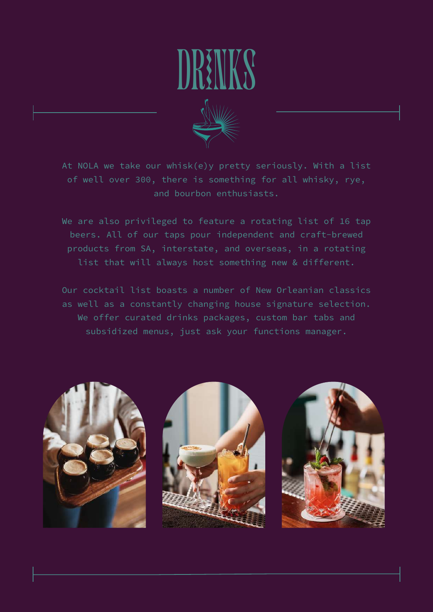# DRINKS



At NOLA we take our whisk(e)y pretty seriously. With a list of well over 300, there is something for all whisky, rye, and bourbon enthusiasts.

We are also privileged to feature a rotating list of 16 tap beers. All of our taps pour independent and craft-brewed products from SA, interstate, and overseas, in a rotating list that will always host something new & different.

Our cocktail list boasts a number of New Orleanian classics as well as a constantly changing house signature selection. We offer curated drinks packages, custom bar tabs and subsidized menus, just ask your functions manager.

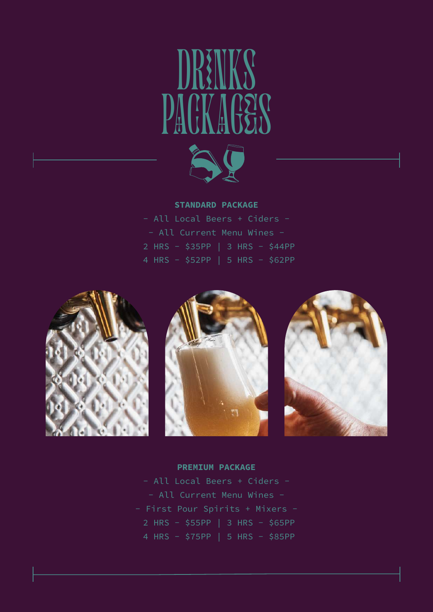# DRINKS PACKAGES AQ



- All Local Beers + Ciders - - All Current Menu Wines - 2 HRS - \$35PP | 3 HRS - \$44PP 4 HRS - \$52PP | 5 HRS - \$62PP







# PREMIUM PACKAGE

- All Local Beers + Ciders - - All Current Menu Wines - - First Pour Spirits + Mixers - 2 HRS - \$55PP | 3 HRS - \$65PP 4 HRS - \$75PP | 5 HRS - \$85PP